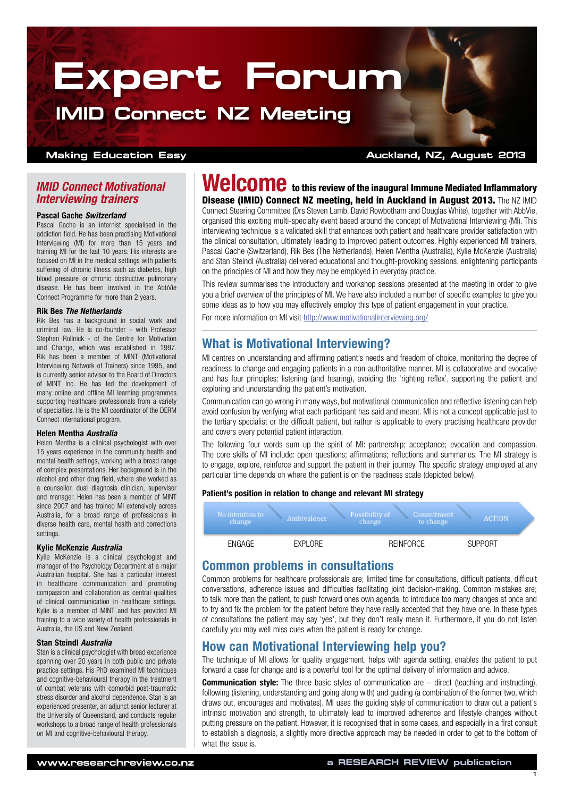# **Expert Forum**

# **IMID Connect NZ Meeting**

#### **Making Education Easy Auckland, NZ, August 2013**

#### *IMID Connect Motivational Interviewing trainers*

#### Pascal Gache *Switzerland*

Pascal Gache is an internist specialised in the addiction field. He has been practising Motivational Interviewing (MI) for more than 15 years and training MI for the last 10 years. His interests are focused on MI in the medical settings with patients suffering of chronic illness such as diabetes, high blood pressure or chronic obstructive pulmonary disease. He has been involved in the AbbVie Connect Programme for more than 2 years.

#### Rik Bes *The Netherlands*

Rik Bes has a background in social work and criminal law. He is co-founder - with Professor Stephen Rollnick - of the Centre for Motivation and Change, which was established in 1997. Rik has been a member of MINT (Motivational Interviewing Network of Trainers) since 1995, and is currently senior advisor to the Board of Directors of MINT Inc. He has led the development of many online and offline MI learning programmes supporting healthcare professionals from a variety of specialties. He is the MI coordinator of the DERM Connect international program.

#### Helen Mentha *Australia*

Helen Mentha is a clinical psychologist with over 15 years experience in the community health and mental health settings, working with a broad range of complex presentations. Her background is in the alcohol and other drug field, where she worked as a counsellor, dual diagnosis clinician, supervisor and manager. Helen has been a member of MINT since 2007 and has trained MI extensively across Australia, for a broad range of professionals in diverse health care, mental health and corrections settings.

#### Kylie McKenzie *Australia*

Kylie McKenzie is a clinical psychologist and manager of the Psychology Department at a major Australian hospital. She has a particular interest in healthcare communication and promoting compassion and collaboration as central qualities of clinical communication in healthcare settings. Kylie is a member of MINT and has provided MI training to a wide variety of health professionals in Australia, the US and New Zealand.

#### Stan Steindl *Australia*

Stan is a clinical psychologist with broad experience spanning over 20 years in both public and private practice settings. His PhD examined MI techniques and cognitive-behavioural therapy in the treatment of combat veterans with comorbid post-traumatic stress disorder and alcohol dependence. Stan is an experienced presenter, an adjunct senior lecturer at the University of Queensland, and conducts regular workshops to a broad range of health professionals on MI and cognitive-behavioural therapy.

Welcome to this review of the inaugural Immune Mediated Inflammatory Disease (IMID) Connect NZ meeting, held in Auckland in August 2013. The NZ IMID Connect Steering Committee (Drs Steven Lamb, David Rowbotham and Douglas White), together with AbbVie, organised this exciting multi-specialty event based around the concept of Motivational Interviewing (MI). This interviewing technique is a validated skill that enhances both patient and healthcare provider satisfaction with the clinical consultation, ultimately leading to improved patient outcomes. Highly experienced MI trainers, Pascal Gache (Switzerland), Rik Bes (The Netherlands), Helen Mentha (Australia), Kylie McKenzie (Australia) and Stan Steindl (Australia) delivered educational and thought-provoking sessions, enlightening participants on the principles of MI and how they may be employed in everyday practice.

This review summarises the introductory and workshop sessions presented at the meeting in order to give you a brief overview of the principles of MI. We have also included a number of specific examples to give you some ideas as to how you may effectively employ this type of patient engagement in your practice.

For more information on MI visit<http://www.motivationalinterviewing.org/>

# What is Motivational Interviewing?

MI centres on understanding and affirming patient's needs and freedom of choice, monitoring the degree of readiness to change and engaging patients in a non-authoritative manner. MI is collaborative and evocative and has four principles: listening (and hearing), avoiding the 'righting reflex', supporting the patient and exploring and understanding the patient's motivation.

Communication can go wrong in many ways, but motivational communication and reflective listening can help avoid confusion by verifying what each participant has said and meant. MI is not a concept applicable just to the tertiary specialist or the difficult patient, but rather is applicable to every practising healthcare provider and covers every potential patient interaction.

The following four words sum up the spirit of MI: partnership; acceptance; evocation and compassion. The core skills of MI include: open questions; affirmations; reflections and summaries. The MI strategy is to engage, explore, reinforce and support the patient in their journey. The specific strategy employed at any particular time depends on where the patient is on the readiness scale (depicted below).

#### Patient's position in relation to change and relevant MI strategy

| No intention to<br>change | Ambivalence     | Possibility of<br>Commitment<br>change<br>to change | <b>ACTION</b>  |  |
|---------------------------|-----------------|-----------------------------------------------------|----------------|--|
| ENGAGE                    | <b>FXPI ORF</b> | <b>REINFORCE</b>                                    | <b>SUPPORT</b> |  |

### Common problems in consultations

Common problems for healthcare professionals are; limited time for consultations, difficult patients, difficult conversations, adherence issues and difficulties facilitating joint decision-making. Common mistakes are; to talk more than the patient, to push forward ones own agenda, to introduce too many changes at once and to try and fix the problem for the patient before they have really accepted that they have one. In these types of consultations the patient may say 'yes', but they don't really mean it. Furthermore, if you do not listen carefully you may well miss cues when the patient is ready for change.

### How can Motivational Interviewing help you?

The technique of MI allows for quality engagement, helps with agenda setting, enables the patient to put forward a case for change and is a powerful tool for the optimal delivery of information and advice.

**Communication style:** The three basic styles of communication are  $-$  direct (teaching and instructing), following (listening, understanding and going along with) and guiding (a combination of the former two, which draws out, encourages and motivates). MI uses the guiding style of communication to draw out a patient's intrinsic motivation and strength, to ultimately lead to improved adherence and lifestyle changes without putting pressure on the patient. However, it is recognised that in some cases, and especially in a first consult to establish a diagnosis, a slightly more directive approach may be needed in order to get to the bottom of what the issue is.

1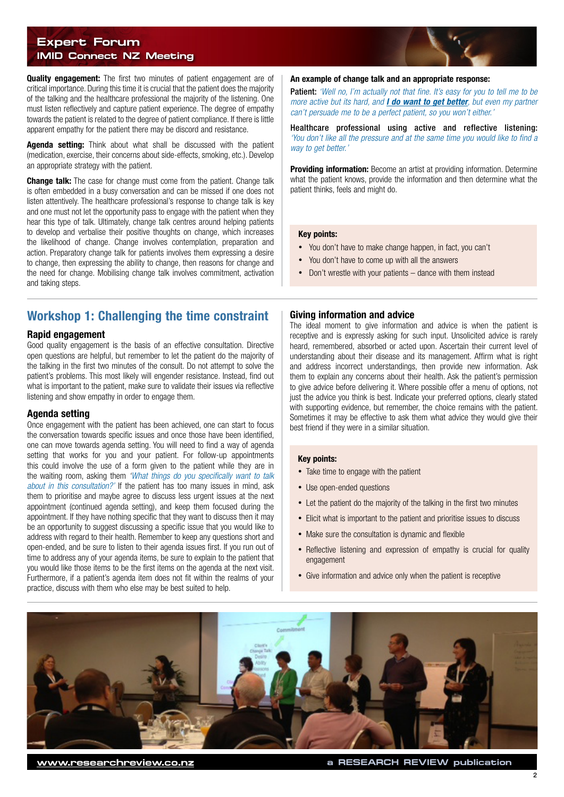#### **Expert Forum IMID Connect NZ Meeting**

**Quality engagement:** The first two minutes of patient engagement are of critical importance. During this time it is crucial that the patient does the majority of the talking and the healthcare professional the majority of the listening. One must listen reflectively and capture patient experience. The degree of empathy towards the patient is related to the degree of patient compliance. If there is little apparent empathy for the patient there may be discord and resistance.

Agenda setting: Think about what shall be discussed with the patient (medication, exercise, their concerns about side-effects, smoking, etc.). Develop an appropriate strategy with the patient.

**Change talk:** The case for change must come from the patient. Change talk is often embedded in a busy conversation and can be missed if one does not listen attentively. The healthcare professional's response to change talk is key and one must not let the opportunity pass to engage with the patient when they hear this type of talk. Ultimately, change talk centres around helping patients to develop and verbalise their positive thoughts on change, which increases the likelihood of change. Change involves contemplation, preparation and action. Preparatory change talk for patients involves them expressing a desire to change, then expressing the ability to change, then reasons for change and the need for change. Mobilising change talk involves commitment, activation and taking steps.

# Workshop 1: Challenging the time constraint

#### Rapid engagement

Good quality engagement is the basis of an effective consultation. Directive open questions are helpful, but remember to let the patient do the majority of the talking in the first two minutes of the consult. Do not attempt to solve the patient's problems. This most likely will engender resistance. Instead, find out what is important to the patient, make sure to validate their issues via reflective listening and show empathy in order to engage them.

#### Agenda setting

Once engagement with the patient has been achieved, one can start to focus the conversation towards specific issues and once those have been identified, one can move towards agenda setting. You will need to find a way of agenda setting that works for you and your patient. For follow-up appointments this could involve the use of a form given to the patient while they are in the waiting room, asking them *'What things do you specifically want to talk about in this consultation?'* If the patient has too many issues in mind, ask them to prioritise and maybe agree to discuss less urgent issues at the next appointment (continued agenda setting), and keep them focused during the appointment. If they have nothing specific that they want to discuss then it may be an opportunity to suggest discussing a specific issue that you would like to address with regard to their health. Remember to keep any questions short and open-ended, and be sure to listen to their agenda issues first. If you run out of time to address any of your agenda items, be sure to explain to the patient that you would like those items to be the first items on the agenda at the next visit. Furthermore, if a patient's agenda item does not fit within the realms of your practice, discuss with them who else may be best suited to help.

#### An example of change talk and an appropriate response:

Patient: *'Well no, I'm actually not that fine. It's easy for you to tell me to be more active but its hard, and I do want to get better, but even my partner can't persuade me to be a perfect patient, so you won't either.'*

Healthcare professional using active and reflective listening: *'You don't like all the pressure and at the same time you would like to find a way to get better.'*

Providing information: Become an artist at providing information. Determine what the patient knows, provide the information and then determine what the patient thinks, feels and might do.

#### Key points:

- You don't have to make change happen, in fact, you can't
- You don't have to come up with all the answers
- Don't wrestle with your patients dance with them instead

#### Giving information and advice

The ideal moment to give information and advice is when the patient is receptive and is expressly asking for such input. Unsolicited advice is rarely heard, remembered, absorbed or acted upon. Ascertain their current level of understanding about their disease and its management. Affirm what is right and address incorrect understandings, then provide new information. Ask them to explain any concerns about their health. Ask the patient's permission to give advice before delivering it. Where possible offer a menu of options, not just the advice you think is best. Indicate your preferred options, clearly stated with supporting evidence, but remember, the choice remains with the patient. Sometimes it may be effective to ask them what advice they would give their best friend if they were in a similar situation.

#### Key points:

- Take time to engage with the patient
- Use open-ended questions
- Let the patient do the majority of the talking in the first two minutes
- Elicit what is important to the patient and prioritise issues to discuss
- Make sure the consultation is dynamic and flexible
- Reflective listening and expression of empathy is crucial for quality engagement
- Give information and advice only when the patient is receptive

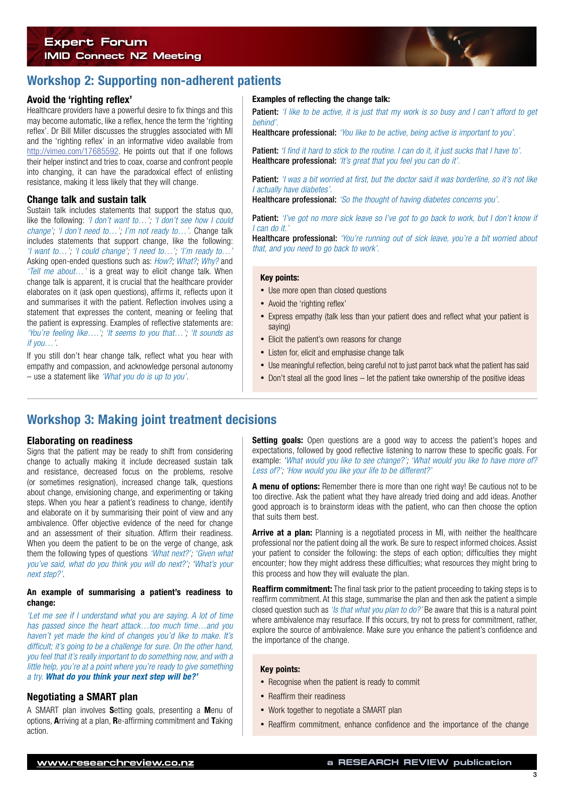### **Expert Forum IMID Connect NZ Meeting**



# Workshop 2: Supporting non-adherent patients

#### Avoid the 'righting reflex'

Healthcare providers have a powerful desire to fix things and this may become automatic, like a reflex, hence the term the 'righting reflex'. Dr Bill Miller discusses the struggles associated with MI and the 'righting reflex' in an informative video available from <http://vimeo.com/17685592>. He points out that if one follows their helper instinct and tries to coax, coarse and confront people into changing, it can have the paradoxical effect of enlisting resistance, making it less likely that they will change.

#### Change talk and sustain talk

Sustain talk includes statements that support the status quo, like the following: *'I don't want to…'; 'I don't see how I could change'; 'I don't need to…'; I'm not ready to…'.* Change talk includes statements that support change, like the following: *'I want to…'; 'I could change'; 'I need to…'; 'I'm ready to…'*  Asking open-ended questions such as: *How?; What?; Why?* and *'Tell me about…'* is a great way to elicit change talk. When change talk is apparent, it is crucial that the healthcare provider elaborates on it (ask open questions), affirms it, reflects upon it and summarises it with the patient. Reflection involves using a statement that expresses the content, meaning or feeling that the patient is expressing. Examples of reflective statements are: *'You're feeling like….'; 'It seems to you that…'; 'It sounds as if you…'.*

If you still don't hear change talk, reflect what you hear with empathy and compassion, and acknowledge personal autonomy – use a statement like *'What you do is up to you'*.

#### Examples of reflecting the change talk:

**Patient:** *'I like to be active, it is just that my work is so busy and I can't afford to get behind'.*

Healthcare professional: *'You like to be active, being active is important to you'.*

Patient: *'I find it hard to stick to the routine. I can do it, it just sucks that I have to'.* Healthcare professional: *'It's great that you feel you can do it'.*

Patient: *'I was a bit worried at first, but the doctor said it was borderline, so it's not like I actually have diabetes'.*

Healthcare professional: *'So the thought of having diabetes concerns you'.*

Patient: *'I've got no more sick leave so I've got to go back to work, but I don't know if I can do it.'*

Healthcare professional: *'You're running out of sick leave, you're a bit worried about that, and you need to go back to work'.*

#### Key points:

- Use more open than closed questions
- Avoid the 'righting reflex'
- Express empathy (talk less than your patient does and reflect what your patient is saying)
- Elicit the patient's own reasons for change
- Listen for, elicit and emphasise change talk
- Use meaningful reflection, being careful not to just parrot back what the patient has said
- Don't steal all the good lines let the patient take ownership of the positive ideas

# Workshop 3: Making joint treatment decisions

#### Elaborating on readiness

Signs that the patient may be ready to shift from considering change to actually making it include decreased sustain talk and resistance, decreased focus on the problems, resolve (or sometimes resignation), increased change talk, questions about change, envisioning change, and experimenting or taking steps. When you hear a patient's readiness to change, identify and elaborate on it by summarising their point of view and any ambivalence. Offer objective evidence of the need for change and an assessment of their situation. Affirm their readiness. When you deem the patient to be on the verge of change, ask them the following types of questions *'What next?'; 'Given what you've said, what do you think you will do next?'; 'What's your next step?'.* 

#### An example of summarising a patient's readiness to change:

*'Let me see if I understand what you are saying. A lot of time has passed since the heart attack…too much time…and you haven't yet made the kind of changes you'd like to make. It's difficult; it's going to be a challenge for sure. On the other hand, you feel that it's really important to do something now, and with a little help, you're at a point where you're ready to give something a try. What do you think your next step will be?'*

#### Negotiating a SMART plan

A SMART plan involves Setting goals, presenting a Menu of options, Arriving at a plan, Re-affirming commitment and Taking action.

**Setting goals:** Open questions are a good way to access the patient's hopes and expectations, followed by good reflective listening to narrow these to specific goals. For example: *'What would you like to see change?'; 'What would you like to have more of? Less of?'; 'How would you like your life to be different?'*

A menu of options: Remember there is more than one right way! Be cautious not to be too directive. Ask the patient what they have already tried doing and add ideas. Another good approach is to brainstorm ideas with the patient, who can then choose the option that suits them best.

Arrive at a plan: Planning is a negotiated process in MI, with neither the healthcare professional nor the patient doing all the work. Be sure to respect informed choices. Assist your patient to consider the following: the steps of each option; difficulties they might encounter; how they might address these difficulties; what resources they might bring to this process and how they will evaluate the plan.

**Reaffirm commitment:** The final task prior to the patient proceeding to taking steps is to reaffirm commitment. At this stage, summarise the plan and then ask the patient a simple closed question such as *'Is that what you plan to do?'* Be aware that this is a natural point where ambivalence may resurface. If this occurs, try not to press for commitment, rather, explore the source of ambivalence. Make sure you enhance the patient's confidence and the importance of the change.

#### Key points:

- Recognise when the patient is ready to commit
- Reaffirm their readiness
- Work together to negotiate a SMART plan
- Reaffirm commitment, enhance confidence and the importance of the change